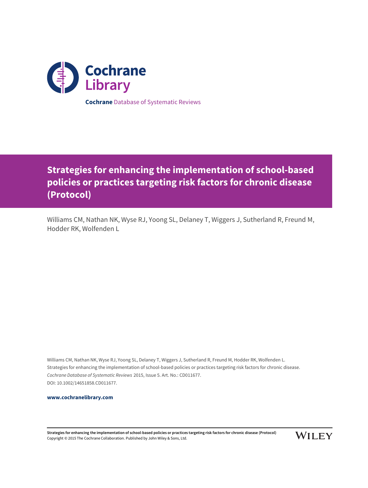

**Strategies for enhancing the implementation of school-based policies or practices targeting risk factors for chronic disease (Protocol)**

Williams CM, Nathan NK, Wyse RJ, Yoong SL, Delaney T, Wiggers J, Sutherland R, Freund M, Hodder RK, Wolfenden L

Williams CM, Nathan NK, Wyse RJ, Yoong SL, Delaney T, Wiggers J, Sutherland R, Freund M, Hodder RK, Wolfenden L. Strategies for enhancing the implementation of school-based policies or practices targeting risk factors for chronic disease. Cochrane Database of Systematic Reviews 2015, Issue 5. Art. No.: CD011677. DOI: 10.1002/14651858.CD011677.

**[www.cochranelibrary.com](http://www.cochranelibrary.com)**

**Strategies for enhancing the implementation of school-based policies or practices targeting risk factors for chronic disease (Protocol)** Copyright © 2015 The Cochrane Collaboration. Published by John Wiley & Sons, Ltd.

**WILEY**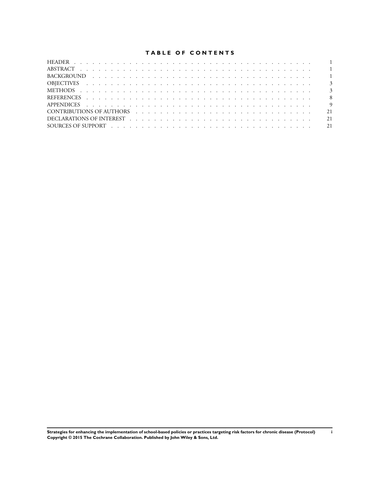## **TABLE OF CONTENTS**

**Strategies for enhancing the implementation of school-based policies or practices targeting risk factors for chronic disease (Protocol) i Copyright © 2015 The Cochrane Collaboration. Published by John Wiley & Sons, Ltd.**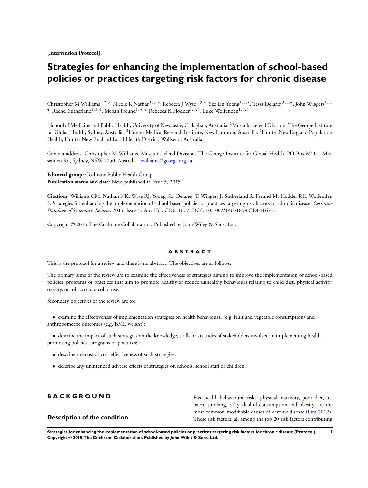<span id="page-2-0"></span>**[Intervention Protocol]**

# **Strategies for enhancing the implementation of school-based policies or practices targeting risk factors for chronic disease**

Christopher M Williams<sup>1,2,3</sup>, Nicole K Nathan<sup>1,3,4</sup>, Rebecca J Wyse<sup>1,3,4</sup>, Sze Lin Yoong<sup>1,3,4</sup>, Tessa Delaney<sup>1,3,4</sup>, John Wiggers<sup>1,3,</sup>  $^4$ , Rachel Sutherland $^{1,3,4}$ , Megan Freund $^{1,3,4}$ , Rebecca K Hodder $^{1,3,4}$ , Luke Wolfenden $^{1,3,4}$ 

<sup>1</sup>School of Medicine and Public Health, University of Newcastle, Callaghan, Australia. <sup>2</sup>Musculoskeletal Division, The George Institute for Global Health, Sydney, Australia. <sup>3</sup>Hunter Medical Research Institute, New Lambton, Australia. <sup>4</sup>Hunter New England Population Health, Hunter New England Local Health District, Wallsend, Australia

Contact address: Christopher M Williams, Musculoskeletal Division, The George Institute for Global Health, PO Box M201, Missenden Rd, Sydney, NSW 2050, Australia. [cwilliams@george.org.au.](mailto:cwilliams@george.org.au)

**Editorial group:** Cochrane Public Health Group. **Publication status and date:** New, published in Issue 5, 2015.

**Citation:** Williams CM, Nathan NK, Wyse RJ, Yoong SL, Delaney T, Wiggers J, Sutherland R, Freund M, Hodder RK, Wolfenden L. Strategies for enhancing the implementation of school-based policies or practices targeting risk factors for chronic disease. *Cochrane Database of Systematic Reviews* 2015, Issue 5. Art. No.: CD011677. DOI: 10.1002/14651858.CD011677.

Copyright © 2015 The Cochrane Collaboration. Published by John Wiley & Sons, Ltd.

## **A B S T R A C T**

This is the protocol for a review and there is no abstract. The objectives are as follows:

The primary aims of the review are to examine the effectiveness of strategies aiming to improve the implementation of school-based policies, programs or practices that aim to promote healthy or reduce unhealthy behaviours relating to child diet, physical activity, obesity, or tobacco or alcohol use.

Secondary objectives of the review are to:

• examine the effectiveness of implementation strategies on health behavioural (e.g. fruit and vegetable consumption) and anthropometric outcomes (e.g. BMI, weight);

• describe the impact of such strategies on the knowledge, skills or attitudes of stakeholders involved in implementing health promoting policies, programs or practices;

- describe the cost or cost effectiveness of such strategies;
- describe any unintended adverse effects of strategies on schools, school staff or children.

## **B A C K G R O U N D**

**Description of the condition**

Five health behavioural risks: physical inactivity, poor diet, tobacco smoking, risky alcohol consumption and obesity, are the most common modifiable causes of chronic disease [\(Lim 2012](#page-9-0)). These risk factors, all among the top 20 risk factors contributing

**Strategies for enhancing the implementation of school-based policies or practices targeting risk factors for chronic disease (Protocol) 1 Copyright © 2015 The Cochrane Collaboration. Published by John Wiley & Sons, Ltd.**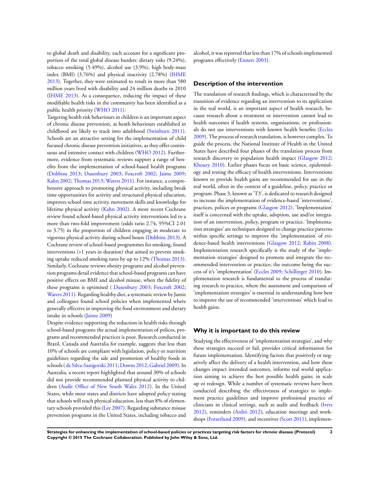to global death and disability, each account for a significant proportion of the total global disease burden: dietary risks (9.24%), tobacco smoking (5.49%), alcohol use (3.9%), high body-mass index (BMI) (3.76%) and physical inactivity (2.78%) [\(IHME](#page-9-0) [2013](#page-9-0)). Together, they were estimated to result in more than 580 million years lived with disability and 24 million deaths in 2010 [\(IHME 2013\)](#page-9-0). As a consequence, reducing the impact of these modifiable health risks in the community has been identified as a public health priority [\(WHO 2011\)](#page-9-0).

Targeting health risk behaviours in children is an important aspect of chronic disease prevention, as heath behaviours established in childhood are likely to track into adulthood ([Swinburn 2011](#page-9-0)). Schools are an attractive setting for the implementation of child focused chronic disease prevention initiatives, as they offer continuous and intensive contact with children ([WHO 2012\)](#page-9-0). Furthermore, evidence from systematic reviews support a range of benefits from the implementation of school-based health programs [\(Dobbins 2013;](#page-9-0) [Dusenbury 2003;](#page-9-0) [Foxcroft 2002](#page-9-0); [Jaime 2009;](#page-9-0) [Kahn 2002;](#page-9-0) [Thomas 2013](#page-9-0); [Waters 2011](#page-9-0)). For instance, a comprehensive approach to promoting physical activity, including break time opportunities for activity and structured physical education, improves school time activity, movement skills and knowledge for lifetime physical activity ([Kahn 2002\)](#page-9-0). A more recent Cochrane review found school-based physical activity interventions led to a more than two-fold improvement (odds ratio 2.74, 95%CI 2.01 to 3.75) in the proportion of children engaging in moderate to vigorous physical activity during school hours [\(Dobbins 2013](#page-9-0)). A Cochrane review of school-based programmes for smoking, found interventions (>1 years in duration) that aimed to prevent smoking uptake reduced smoking rates by up to 12% [\(Thomas 2013](#page-9-0)). Similarly, Cochrane reviews obesity programs and alcohol prevention programs detail evidence that school-based programs can have positive effects on BMI and alcohol misuse, when the fidelity of these programs is optimised ( [Dusenbury 2003;](#page-9-0) [Foxcroft 2002;](#page-9-0) [Waters 2011](#page-9-0)). Regarding healthy diet, a systematic review by Jamie and colleagues found school policies when implemented where generally effective in improving the food environment and dietary intake in schools [\(Jaime 2009\)](#page-9-0)

Despite evidence supporting the reduction in health risks through school-based programs the actual implementation of polices, programs and recommended practices is poor. Research conducted in Brazil, Canada and Australia for example, suggests that less than 10% of schools are compliant with legislation, policy or nutrition guidelines regarding the sale and promotion of healthy foods in schools ( de Silva-Sanigorski 2011; Downs 2012; [Gabriel 2009](#page-9-0)). In Australia, a recent report highlighted that around 30% of schools did not provide recommended planned physical activity to children [\(Audit Office of New South Wales 2012\)](#page-9-0). In the United States, while most states and districts have adopted policy stating that schools will teach physical education, less than 8% of elementary schools provided this [\(Lee 2007](#page-9-0)). Regarding substance misuse prevention programs in the United States, including tobacco and

alcohol, it was reported that less than 17% of schools implemented programs effectively ([Ennett 2003\)](#page-9-0).

## **Description of the intervention**

The translation of research findings, which is characterised by the transition of evidence regarding an intervention to its application in the real world, is an important aspect of health research, because research about a treatment or intervention cannot lead to health outcomes if health systems, organisations, or professionals do not use interventions with known health benefits [\(Eccles](#page-9-0) [2009](#page-9-0)). The process of research translation, is however complex. To guide the process, the National Institute of Health in the United States have described four phases of the translation process from research discovery to population health impact [\(Glasgow 2012;](#page-9-0) [Khoury 2010\)](#page-9-0). Earlier phases focus on basic science, epidemiology and testing the efficacy of health interventions. Interventions known to provide health gains are recommended for use in the real world, often in the context of a guideline, policy, practice or program. Phase 3, known as 'T3', is dedicated to research designed to increase the implementation of evidence-based 'interventions', practices, polices or programs ([Glasgow 2012\)](#page-9-0). 'Implementation' itself is concerned with the uptake, adoption, use and/or integration of an intervention, policy, program or practice. 'Implmentation strategies' are techniques designed to change practice patterns within specific settings to improve the 'implementation' of evidence-based health interventions ([Glasgow 2012;](#page-9-0) [Rabin 2008](#page-9-0)). Implementation research specifically is the study of the 'implementation strategies' designed to promote and integrate the recommended intervention or practice; the outcome being the success of it's 'implementation' [\(Eccles 2009;](#page-9-0) [Schillinger 2010\)](#page-9-0). Implemenation research is fundamental to the process of translating research to practice, where the assessment and comparison of 'implementation strategies' is essential in understanding how best to improve the use of recommended 'interventions' which lead to health gains.

## **Why it is important to do this review**

Studying the effectiveness of 'implementation strategies', and why these strategies succeed or fail, provides critical information for future implementation. Identifying factors that positively or negatively affect the delivery of a health intervention, and how these changes impact intended outcomes, informs real world application aiming to achieve the best possible health gains; in scale up or redesign. While a number of systematic reviews have been conducted describing the effectiveness of strategies to implement practice guidelines and improve professional practice of clinicians in clinical settings, such as audit and feedback [\(Ivers](#page-9-0) [2012](#page-9-0)), reminders [\(Arditi 2012\)](#page-9-0), education meetings and workshops [\(Forsetlund 2009](#page-9-0)), and incentives [\(Scott 2011](#page-9-0)), implemen-

**Strategies for enhancing the implementation of school-based policies or practices targeting risk factors for chronic disease (Protocol) 2 Copyright © 2015 The Cochrane Collaboration. Published by John Wiley & Sons, Ltd.**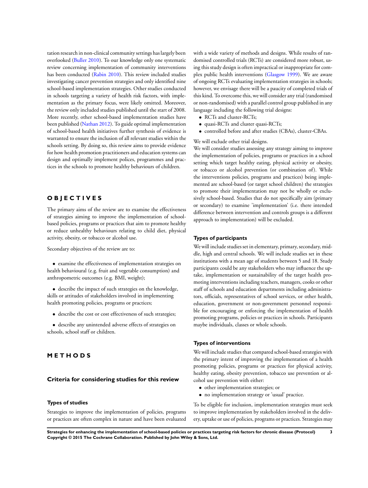tation research in non-clinical community settings has largely been overlooked [\(Buller 2010\)](#page-9-0). To our knowledge only one systematic review concerning implementation of community interventions has been conducted [\(Rabin 2010](#page-9-0)). This review included studies investigating cancer prevention strategies and only identified nine school-based implementation strategies. Other studies conducted in schools targeting a variety of health risk factors, with implementation as the primary focus, were likely omitted. Moreover, the review only included studies published until the start of 2008. More recently, other school-based implementation studies have been published ([Nathan 2012](#page-9-0)). To guide optimal implementation of school-based health initiatives further synthesis of evidence is warranted to ensure the inclusion of all relevant studies within the schools setting. By doing so, this review aims to provide evidence for how health promotion practitioners and education systems can design and optimally implement polices, programmes and practices in the schools to promote healthy behaviours of children.

## **O B J E C T I V E S**

The primary aims of the review are to examine the effectiveness of strategies aiming to improve the implementation of schoolbased policies, programs or practices that aim to promote healthy or reduce unhealthy behaviours relating to child diet, physical activity, obesity, or tobacco or alcohol use.

Secondary objectives of the review are to:

• examine the effectiveness of implementation strategies on health behavioural (e.g. fruit and vegetable consumption) and anthropometric outcomes (e.g. BMI, weight);

• describe the impact of such strategies on the knowledge, skills or attitudes of stakeholders involved in implementing health promoting policies, programs or practices;

• describe the cost or cost effectiveness of such strategies;

• describe any unintended adverse effects of strategies on schools, school staff or children.

## **M E T H O D S**

## **Criteria for considering studies for this review**

## **Types of studies**

Strategies to improve the implementation of policies, programs or practices are often complex in nature and have been evaluated

with a wide variety of methods and designs. While results of randomised controlled trials (RCTs) are considered more robust, using this study design is often impractical or inappropriate for complex public health interventions ([Glasgow 1999\)](#page-9-0). We are aware of ongoing RCTs evaluating implementation strategies in schools; however, we envisage there will be a paucity of completed trials of this kind. To overcome this, we will consider any trial (randomised or non-randomised) with a parallel control group published in any language including the following trial designs:

- RCTs and cluster-RCTs;
- quasi-RCTs and cluster quasi-RCTs;
- controlled before and after studies (CBAs), cluster-CBAs.

We will exclude other trial designs.

We will consider studies assessing any strategy aiming to improve the implementation of policies, programs or practices in a school setting which target healthy eating, physical activity or obesity, or tobacco or alcohol prevention (or combination of). While the interventions policies, programs and practices) being implemented are school-based (or target school children) the strategies to promote their implementation may not be wholly or exclusively school-based. Studies that do not specifically aim (primary or secondary) to examine 'implementation' (i.e. there intended difference between intervention and controls groups is a different approach to implementation) will be excluded.

## **Types of participants**

We will include studies set in elementary, primary, secondary, middle, high and central schools. We will include studies set in these institutions with a mean age of students between 5 and 18. Study participants could be any stakeholders who may influence the uptake, implementation or sustainability of the target health promoting interventions including teachers, managers, cooks or other staff of schools and education departments including administrators, officials, representatives of school services, or other health, education, government or non-government personnel responsible for encouraging or enforcing the implementation of health promoting programs, policies or practices in schools. Participants maybe individuals, classes or whole schools.

## **Types of interventions**

We will include studies that compared school-based strategies with the primary intent of improving the implementation of a health promoting policies, programs or practices for physical activity, healthy eating, obesity prevention, tobacco use prevention or alcohol use prevention with either:

- other implementation strategies; or
- no implementation strategy or 'usual' practice.

To be eligible for inclusion, implementation strategies must seek to improve implementation by stakeholders involved in the delivery, uptake or use of policies, programs or practices. Strategies may

**Strategies for enhancing the implementation of school-based policies or practices targeting risk factors for chronic disease (Protocol) 3 Copyright © 2015 The Cochrane Collaboration. Published by John Wiley & Sons, Ltd.**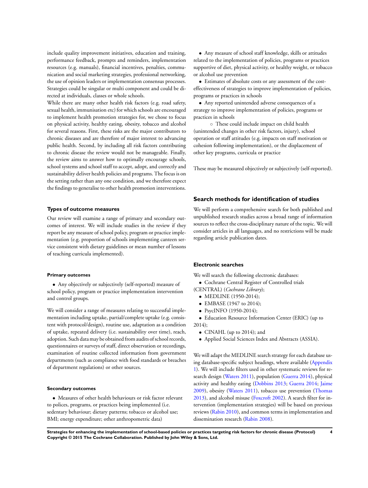include quality improvement initiatives, education and training, performance feedback, prompts and reminders, implementation resources (e.g. manuals), financial incentives, penalties, communication and social marketing strategies, professional networking, the use of opinion leaders or implementation consensus processes. Strategies could be singular or multi component and could be directed at individuals, classes or whole schools.

While there are many other health risk factors (e.g. road safety, sexual health, immunisation etc) for which schools are encouraged to implement health promotion strategies for, we chose to focus on physical activity, healthy eating, obesity, tobacco and alcohol for several reasons. First, these risks are the major contributors to chronic diseases and are therefore of major interest to advancing public health. Second, by including all risk factors contributing to chronic disease the review would not be manageable. Finally, the review aims to answer how to optimally encourage schools, school systems and school staff to accept, adopt, and correctly and sustainability deliver health policies and programs. The focus is on the setting rather than any one condition, and we therefore expect the findings to generalise to other health promotion interventions.

#### **Types of outcome measures**

Our review will examine a range of primary and secondary outcomes of interest. We will include studies in the review if they report be any measure of school policy, program or practice implementation (e.g. proportion of schools implementing canteen service consistent with dietary guidelines or mean number of lessons of teaching curricula implemented).

## **Primary outcomes**

• Any objectively or subjectively (self-reported) measure of school policy, program or practice implementation intervention and control groups.

We will consider a range of measures relating to successful implementation including uptake, partial/complete uptake (e.g. consistent with protocol/design), routine use, adaptation as a condition of uptake, repeated delivery (i.e. sustainability over time), reach, adoption. Such data may be obtained from audits of school records, questionnaires or surveys of staff, direct observation or recordings, examination of routine collected information from government departments (such as compliance with food standards or breaches of department regulations) or other sources.

## **Secondary outcomes**

• Measures of other health behaviours or risk factor relevant to polices, programs, or practices being implemented (i.e. sedentary behaviour; dietary patterns; tobacco or alcohol use; BMI; energy expenditure; other anthropometric data)

• Any measure of school staff knowledge, skills or attitudes related to the implementation of policies, programs or practices supportive of diet, physical activity, or healthy weight, or tobacco or alcohol use prevention

• Estimates of absolute costs or any assessment of the costeffectiveness of strategies to improve implementation of policies, programs or practices in schools

• Any reported unintended adverse consequences of a strategy to improve implementation of policies, programs or practices in schools

◦ These could include impact on child health (unintended changes in other risk factors, injury), school operation or staff attitudes (e.g. impacts on staff motivation or cohesion following implementation), or the displacement of other key programs, curricula or practice

These may be measured objectively or subjectively (self-reported).

## **Search methods for identification of studies**

We will perform a comprehensive search for both published and unpublished research studies across a broad range of information sources to reflect the cross-disciplinary nature of the topic. We will consider articles in all languages, and no restrictions will be made regarding article publication dates.

#### **Electronic searches**

We will search the following electronic databases:

• Cochrane Central Register of Controlled trials

- (CENTRAL) (*Cochrane Library*);
	- MEDLINE (1950-2014);
	- EMBASE (1947 to 2014);
	- PsycINFO (1950-2014);

• Education Resource Information Center (ERIC) (up to 2014);

- CINAHL (up to 2014); and
- Applied Social Sciences Index and Abstracts (ASSIA).

We will adapt the MEDLINE search strategy for each database using database-specific subject headings, where available [\(Appendix](#page-11-0) [1\)](#page-11-0). We will include filters used in other systematic reviews for research design ([Waters 2011\)](#page-9-0), population [\(Guerra 2014](#page-9-0)), physical activity and healthy eating [\(Dobbins 2013](#page-9-0); [Guerra 2014;](#page-9-0) [Jaime](#page-9-0) [2009](#page-9-0)), obesity ([Waters 2011](#page-9-0)), tobacco use prevention ([Thomas](#page-9-0) [2013](#page-9-0)), and alcohol misuse ([Foxcroft 2002\)](#page-9-0). A search filter for intervention (implementation strategies) will be based on previous reviews ([Rabin 2010\)](#page-9-0), and common terms in implementation and dissemination research [\(Rabin 2008\)](#page-9-0).

**Strategies for enhancing the implementation of school-based policies or practices targeting risk factors for chronic disease (Protocol) 4 Copyright © 2015 The Cochrane Collaboration. Published by John Wiley & Sons, Ltd.**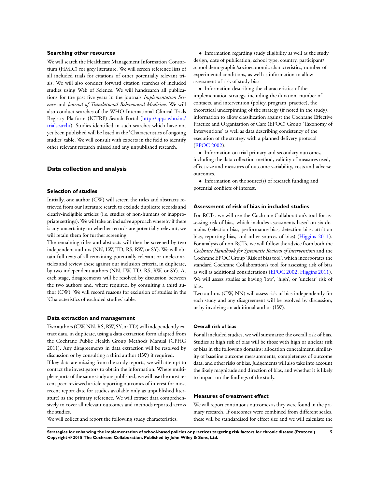## **Searching other resources**

We will search the Healthcare Management Information Consortium (HMIC) for grey literature. We will screen reference lists of all included trials for citations of other potentially relevant trials. We will also conduct forward citation searches of included studies using Web of Science. We will handsearch all publications for the past five years in the journals *Implementation Science* and *Journal of Translational Behavioural Medicine*. We will also conduct searches of the WHO International Clinical Trials Registry Platform (ICTRP) Search Portal [\(http://apps.who.int/](http://apps.who.int/trialsearch/) [trialsearch/](http://apps.who.int/trialsearch/)). Studies identified in such searches which have not yet been published will be listed in the 'Characteristics of ongoing studies' table. We will consult with experts in the field to identify other relevant research missed and any unpublished research.

## **Data collection and analysis**

## **Selection of studies**

Initially, one author (CW) will screen the titles and abstracts retrieved from our literature search to exclude duplicate records and clearly-ineligible articles (i.e. studies of non-humans or inappropriate settings). We will take an inclusive approach whereby if there is any uncertainty on whether records are potentially relevant, we will retain them for further screening.

The remaining titles and abstracts will then be screened by two independent authors (NN, LW, TD, RS, RW, or SY). We will obtain full texts of all remaining potentially relevant or unclear articles and review these against our inclusion criteria, in duplicate, by two independent authors (NN, LW, TD, RS, RW, or SY). At each stage, disagreements will be resolved by discussion between the two authors and, where required, by consulting a third author (CW). We will record reasons for exclusion of studies in the 'Characteristics of excluded studies' table.

## **Data extraction and management**

Two authors (CW, NN, RS, RW, SY, or TD) will independently extract data, in duplicate, using a data extraction form adapted from the Cochrane Public Health Group Methods Manual (CPHG 2011). Any disagreements in data extraction will be resolved by discussion or by consulting a third author (LW) if required.

If key data are missing from the study reports, we will attempt to contact the investigators to obtain the information. Where multiple reports of the same study are published, we will use the most recent peer-reviewed article reporting outcomes of interest (or most recent report date for studies available only as unpublished literature) as the primary reference. We will extract data comprehensively to cover all relevant outcomes and methods reported across the studies.

We will collect and report the following study characteristics.

• Information regarding study eligibility as well as the study design, date of publication, school type, country, participant/ school demographic/socioeconomic characteristics, number of experimental conditions, as well as information to allow assessment of risk of study bias.

• Information describing the characteristics of the implementation strategy, including the duration, number of contacts, and intervention (policy, program, practice), the theoretical underpinning of the strategy (if noted in the study), information to allow classification against the Cochrane Effective Practice and Organisation of Care (EPOC) Group 'Taxonomy of Interventions' as well as data describing consistency of the execution of the strategy with a planned delivery protocol [\(EPOC 2002](#page-9-0)).

• Information on trial primary and secondary outcomes, including the data collection method, validity of measures used, effect size and measures of outcome variability, costs and adverse outcomes.

• Information on the source(s) of research funding and potential conflicts of interest.

## **Assessment of risk of bias in included studies**

For RCTs, we will use the Cochrane Collaboration's tool for assessing risk of bias, which includes assessments based on six domains (selection bias, performance bias, detection bias, attrition bias, reporting bias, and other sources of bias) [\(Higgins 2011](#page-9-0)). For analysis of non-RCTs, we will follow the advice from both the *Cochrane Handbook for Systematic Reviews of Interventions* and the Cochrane EPOC Group 'Risk of bias tool', which incorporates the standard Cochrane Collaboration's tool for assessing risk of bias as well as additional considerations ([EPOC 2002](#page-9-0); [Higgins 2011](#page-9-0)). We will assess studies as having 'low', 'high', or 'unclear' risk of bias.

Two authors (CW, NN) will assess risk of bias independently for each study and any disagreement will be resolved by discussion, or by involving an additional author (LW).

#### **Overall risk of bias**

For all included studies, we will summarise the overall risk of bias. Studies at high risk of bias will be those with high or unclear risk of bias in the following domains: allocation concealment, similarity of baseline outcome measurements, completeness of outcome data, and other risks of bias. Judgements will also take into account the likely magnitude and direction of bias, and whether it is likely to impact on the findings of the study.

## **Measures of treatment effect**

We will report continuous outcomes as they were found in the primary research. If outcomes were combined from different scales, these will be standardised for effect size and we will calculate the

**Strategies for enhancing the implementation of school-based policies or practices targeting risk factors for chronic disease (Protocol) 5 Copyright © 2015 The Cochrane Collaboration. Published by John Wiley & Sons, Ltd.**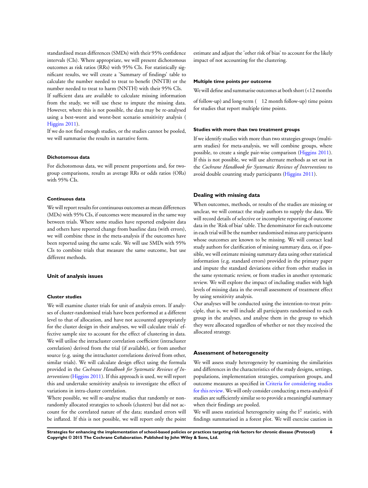standardised mean differences (SMDs) with their 95% confidence intervals (CIs). Where appropriate, we will present dichotomous outcomes as risk ratios (RRs) with 95% CIs. For statistically significant results, we will create a 'Summary of findings' table to calculate the number needed to treat to benefit (NNTB) or the number needed to treat to harm (NNTH) with their 95% CIs. If sufficient data are available to calculate missing information from the study, we will use these to impute the missing data. However, where this is not possible, the data may be re-analysed using a best-worst and worst-best scenario sensitivity analysis ( [Higgins 2011\)](#page-9-0).

If we do not find enough studies, or the studies cannot be pooled, we will summarise the results in narrative form.

## **Dichotomous data**

For dichotomous data, we will present proportions and, for twogroup comparisons, results as average RRs or odds ratios (ORs) with 95% CIs.

## **Continuous data**

We will report results for continuous outcomes as mean differences (MDs) with 95% CIs, if outcomes were measured in the same way between trials. Where some studies have reported endpoint data and others have reported change from baseline data (with errors), we will combine these in the meta-analysis if the outcomes have been reported using the same scale. We will use SMDs with 95% CIs to combine trials that measure the same outcome, but use different methods.

#### **Unit of analysis issues**

#### **Cluster studies**

We will examine cluster trials for unit of analysis errors. If analyses of cluster-randomised trials have been performed at a different level to that of allocation, and have not accounted appropriately for the cluster design in their analyses, we will calculate trials' effective sample size to account for the effect of clustering in data. We will utilise the intracluster correlation coefficient (intracluster correlation) derived from the trial (if available), or from another source (e.g. using the intracluster correlations derived from other, similar trials). We will calculate design effect using the formula provided in the *Cochrane Handbook for Systematic Reviews of Interventions* ([Higgins 2011](#page-9-0)). If this approach is used, we will report this and undertake sensitivity analysis to investigate the effect of variations in intra-cluster correlation.

Where possible, we will re-analyse studies that randomly or nonrandomly allocated strategies to schools (clusters) but did not account for the correlated nature of the data; standard errors will be inflated. If this is not possible, we will report only the point estimate and adjust the 'other risk of bias' to account for the likely impact of not accounting for the clustering.

## **Multiple time points per outcome**

We will define and summarise outcomes at both short (<12 months

of follow-up) and long-term ( 12 month follow-up) time points for studies that report multiple time points.

#### **Studies with more than two treatment groups**

If we identify studies with more than two strategies groups (multiarm studies) for meta-analysis, we will combine groups, where possible, to create a single pair-wise comparison [\(Higgins 2011](#page-9-0)). If this is not possible, we will use alternate methods as set out in the *Cochrane Handbook for Systematic Reviews of Interventions* to avoid double counting study participants ([Higgins 2011](#page-9-0)).

## **Dealing with missing data**

When outcomes, methods, or results of the studies are missing or unclear, we will contact the study authors to supply the data. We will record details of selective or incomplete reporting of outcome data in the 'Risk of bias' table. The denominator for each outcome in each trial will be the number randomised minus any participants whose outcomes are known to be missing. We will contact lead study authors for clarification of missing summary data, or, if possible, we will estimate missing summary data using other statistical information (e.g. standard errors) provided in the primary paper and impute the standard deviations either from other studies in the same systematic review, or from studies in another systematic review. We will explore the impact of including studies with high levels of missing data in the overall assessment of treatment effect by using sensitivity analysis.

Our analyses will be conducted using the intention-to-treat principle, that is, we will include all participants randomised to each group in the analyses, and analyse them in the group to which they were allocated regardless of whether or not they received the allocated strategy.

## **Assessment of heterogeneity**

We will assess study heterogeneity by examining the similarities and differences in the characteristics of the study designs, settings, populations, implementation strategies, comparison groups, and outcome measures as specified in [Criteria for considering studies](#page-2-0) [for this review](#page-2-0). We will only consider conducting a meta-analysis if studies are sufficiently similar so to provide a meaningful summary when their findings are pooled.

We will assess statistical heterogeneity using the  $I<sup>2</sup>$  statistic, with findings summarised in a forest plot. We will exercise caution in

**Strategies for enhancing the implementation of school-based policies or practices targeting risk factors for chronic disease (Protocol) 6 Copyright © 2015 The Cochrane Collaboration. Published by John Wiley & Sons, Ltd.**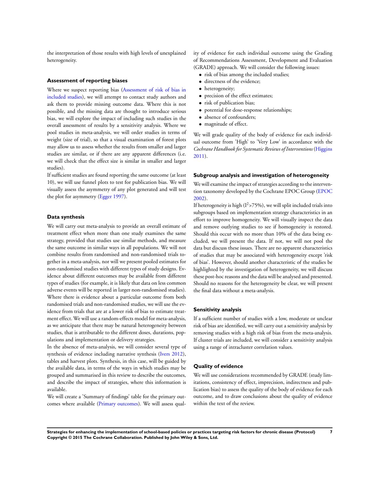the interpretation of those results with high levels of unexplained heterogeneity.

## **Assessment of reporting biases**

Where we suspect reporting bias ([Assessment of risk of bias in](#page-2-0) [included studies\)](#page-2-0), we will attempt to contact study authors and ask them to provide missing outcome data. Where this is not possible, and the missing data are thought to introduce serious bias, we will explore the impact of including such studies in the overall assessment of results by a sensitivity analysis. Where we pool studies in meta-analysis, we will order studies in terms of weight (size of trial), so that a visual examination of forest plots may allow us to assess whether the results from smaller and larger studies are similar, or if there are any apparent differences (i.e. we will check that the effect size is similar in smaller and larger studies).

If sufficient studies are found reporting the same outcome (at least 10), we will use funnel plots to test for publication bias. We will visually assess the asymmetry of any plot generated and will test the plot for asymmetry [\(Egger 1997](#page-9-0)).

## **Data synthesis**

We will carry out meta-analysis to provide an overall estimate of treatment effect when more than one study examines the same strategy, provided that studies use similar methods, and measure the same outcome in similar ways in all populations. We will not combine results from randomised and non-randomised trials together in a meta-analysis, nor will we present pooled estimates for non-randomised studies with different types of study designs. Evidence about different outcomes may be available from different types of studies (for example, it is likely that data on less common adverse events will be reported in larger non-randomised studies). Where there is evidence about a particular outcome from both randomised trials and non-randomised studies, we will use the evidence from trials that are at a lower risk of bias to estimate treatment effect. We will use a random-effects model for meta-analysis, as we anticipate that there may be natural heterogeneity between studies, that is attributable to the different doses, durations, populations and implementation or delivery strategies.

In the absence of meta-analysis, we will consider several type of synthesis of evidence including narrative synthesis ([Ivers 2012](#page-9-0)), tables and harvest plots. Synthesis, in this case, will be guided by the available data, in terms of the ways in which studies may be grouped and summarised in this review to describe the outcomes, and describe the impact of strategies, where this information is available.

We will create a 'Summary of findings' table for the primary outcomes where available ([Primary outcomes](#page-2-0)). We will assess quality of evidence for each individual outcome using the Grading of Recommendations Assessment, Development and Evaluation (GRADE) approach. We will consider the following issues:

- risk of bias among the included studies;
- directness of the evidence;
- heterogeneity;
- precision of the effect estimates;
- risk of publication bias;
- potential for dose-response relationships;
- absence of confounders;
- magnitude of effect.

We will grade quality of the body of evidence for each individual outcome from 'High' to 'Very Low' in accordance with the *Cochrane Handbook for Systematic Reviews of Interventions* ([Higgins](#page-9-0) [2011](#page-9-0)).

#### **Subgroup analysis and investigation of heterogeneity**

We will examine the impact of strategies according to the intervention taxonomy developed by the Cochrane EPOC Group ([EPOC](#page-9-0) [2002](#page-9-0)).

If heterogeneity is high ( $I^2$ >75%), we will split included trials into subgroups based on implementation strategy characteristics in an effort to improve homogeneity. We will visually inspect the data and remove outlying studies to see if homogeneity is restored. Should this occur with no more than 10% of the data being excluded, we will present the data. If not, we will not pool the data but discuss these issues. There are no apparent characteristics of studies that may be associated with heterogeneity except 'risk of bias'. However, should another characteristic of the studies be highlighted by the investigation of heterogeneity, we will discuss these post-hoc reasons and the data will be analysed and presented. Should no reasons for the heterogeneity be clear, we will present the final data without a meta-analysis.

#### **Sensitivity analysis**

If a sufficient number of studies with a low, moderate or unclear risk of bias are identified, we will carry out a sensitivity analysis by removing studies with a high risk of bias from the meta-analysis. If cluster trials are included, we will consider a sensitivity analysis using a range of intracluster correlation values.

## **Quality of evidence**

We will use considerations recommended by GRADE (study limitations, consistency of effect, imprecision, indirectness and publication bias) to assess the quality of the body of evidence for each outcome, and to draw conclusions about the quality of evidence within the text of the review.

**Strategies for enhancing the implementation of school-based policies or practices targeting risk factors for chronic disease (Protocol) 7 Copyright © 2015 The Cochrane Collaboration. Published by John Wiley & Sons, Ltd.**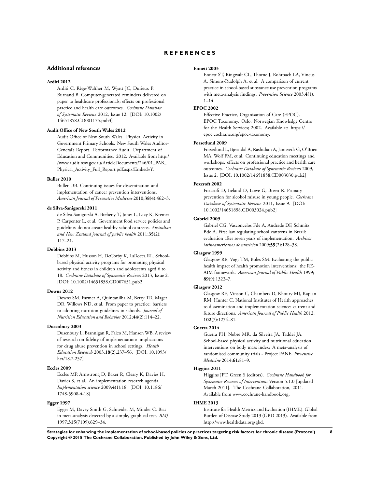## <span id="page-9-0"></span>**Additional references**

#### **Arditi 2012**

Arditi C, Rège-Walther M, Wyatt JC, Durieux P, Burnand B. Computer-generated reminders delivered on paper to healthcare professionals; effects on professional practice and health care outcomes. *Cochrane Database of Systematic Reviews* 2012, Issue 12. [DOI: 10.1002/ 14651858.CD001175.pub3]

## **Audit Office of New South Wales 2012**

Audit Office of New South Wales. Physical Activity in Government Primary Schools. New South Wales Auditor-General's Report. Performance Audit. Department of Education and Communities. 2012. Available from http:/ /www.audit.nsw.gov.au/ArticleDocuments/246/01\_PAB\_ Physical\_Activity\_Full\_Report.pdf.aspx?Embed=Y.

#### **Buller 2010**

Buller DB. Continuing issues for dissemination and implementation of cancer prevention interventions. *American Journal of Preventive Medicine* 2010;**38**(4):462–3.

## **de Silva-Sanigorski 2011**

de Silva-Sanigorski A, Breheny T, Jones L, Lacy K, Kremer P, Carpenter L, et al. Government food service policies and guidelines do not create healthy school canteens. *Australian and New Zealand journal of public health* 2011;**35**(2): 117–21.

#### **Dobbins 2013**

Dobbins M, Husson H, DeCorby K, LaRocca RL. Schoolbased physical activity programs for promoting physical activity and fitness in children and adolescents aged 6 to 18. *Cochrane Database of Systematic Reviews* 2013, Issue 2. [DOI: 10.1002/14651858.CD007651.pub2]

#### **Downs 2012**

Downs SM, Farmer A, Quintanilha M, Berry TR, Mager DR, Willows ND, et al. From paper to practice: barriers to adopting nutrition guidelines in schools. *Journal of Nutrition Education and Behavior* 2012;**44**(2):114–22.

## **Dusenbury 2003**

Dusenbury L, Brannigan R, Falco M, Hansen WB. A review of research on fidelity of implementation: implications for drug abuse prevention in school settings. *Health Education Research* 2003;**18**(2):237–56. [DOI: 10.1093/ her/18.2.237]

#### **Eccles 2009**

Eccles MP, Armstrong D, Baker R, Cleary K, Davies H, Davies S, et al. An implementation research agenda. *Implementation science* 2009;**4**(1):18. [DOI: 10.1186/ 1748-5908-4-18]

## **Egger 1997**

Egger M, Davey Smith G, Schneider M, Minder C. Bias in meta-analysis detected by a simple, graphical test. *BMJ* 1997;**315**(7109):629–34.

#### **Ennett 2003**

Ennett ST, Ringwalt CL, Thorne J, Rohrbach LA, Vincus A, Simons-Rudolph A, et al. A comparison of current practice in school-based substance use prevention programs with meta-analysis findings. *Prevention Science* 2003;**4**(1):  $1 - 14$ 

## **EPOC 2002**

Effective Practice, Organisation of Care (EPOC). EPOC Taxonomy. Oslo: Norwegian Knowledge Centre for the Health Services; 2002. Available at: https:// epoc.cochrane.org/epoc-taxonomy.

## **Forsetlund 2009**

Forsetlund L, Bjørndal A, Rashidian A, Jamtvedt G, O'Brien MA, Wolf FM, et al. Continuing education meetings and workshops: effects on professional practice and health care outcomes. *Cochrane Database of Systematic Reviews* 2009, Issue 2. [DOI: 10.1002/14651858.CD003030.pub2]

## **Foxcroft 2002**

Foxcroft D, Ireland D, Lowe G, Breen R. Primary prevention for alcohol misuse in young people. *Cochrane Database of Systematic Reviews* 2011, Issue 9. [DOI: 10.1002/14651858.CD003024.pub2]

#### **Gabriel 2009**

Gabriel CG, Vasconcelos Fde A, Andrade DF, Schmitz Bde A. First law regulating school canteens in Brazil: evaluation after seven years of implementation. *Archivos latinoamericanos de nutricion* 2009;**59**(2):128–38.

## **Glasgow 1999**

Glasgow RE, Vogt TM, Boles SM. Evaluating the public health impact of health promotion interventions: the RE-AIM framework. *American Journal of Public Health* 1999; **89**(9):1322–7.

## **Glasgow 2012**

Glasgow RE, Vinson C, Chambers D, Khoury MJ, Kaplan RM, Hunter C. National Institutes of Health approaches to dissemination and implementation science: current and future directions. *American Journal of Public Health* 2012; **102**(7):1274–81.

## **Guerra 2014**

Guerra PH, Nobre MR, da Silveira JA, Taddei JA. School-based physical activity and nutritional education interventions on body mass index: A meta-analysis of randomised community trials - Project PANE. *Preventive Medicine* 2014;**61**:81–9.

#### **Higgins 2011**

Higgins JPT, Green S (editors). *Cochrane Handbook for Systematic Reviews of Interventions* Version 5.1.0 [updated March 2011]. The Cochrane Collaboration, 2011. Available from www.cochrane-handbook.org.

#### **IHME 2013**

Institute for Health Metrics and Evaluation (IHME). Global Burden of Disease Study 2013 (GBD 2013). Available from http://www.healthdata.org/gbd.

**Strategies for enhancing the implementation of school-based policies or practices targeting risk factors for chronic disease (Protocol) 8 Copyright © 2015 The Cochrane Collaboration. Published by John Wiley & Sons, Ltd.**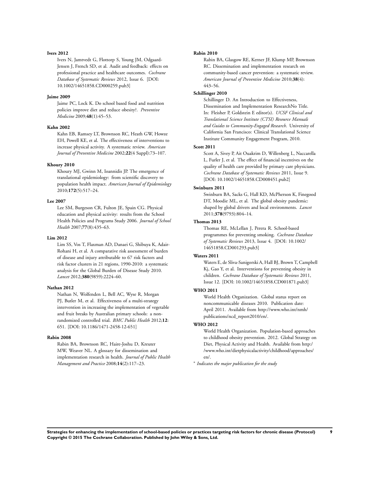## **Ivers 2012**

Ivers N, Jamtvedt G, Flottorp S, Young JM, Odgaard-Jensen J, French SD, et al. Audit and feedback: effects on professional practice and healthcare outcomes. *Cochrane Database of Systematic Reviews* 2012, Issue 6. [DOI: 10.1002/14651858.CD000259.pub3]

#### **Jaime 2009**

Jaime PC, Lock K. Do school based food and nutrition policies improve diet and reduce obesity?. *Preventive Medicine* 2009;**48**(1):45–53.

## **Kahn 2002**

Kahn EB, Ramsey LT, Brownson RC, Heath GW, Howze EH, Powell KE, et al. The effectiveness of interventions to increase physical activity. A systematic review. *American Journal of Preventive Medicine* 2002;**22**(4 Suppl):73–107.

#### **Khoury 2010**

Khoury MJ, Gwinn M, Ioannidis JP. The emergence of translational epidemiology: from scientific discovery to population health impact. *American Journal of Epidemiology* 2010;**172**(5):517–24.

## **Lee 2007**

Lee SM, Burgeson CR, Fulton JE, Spain CG. Physical education and physical activity: results from the School Health Policies and Programs Study 2006. *Journal of School Health* 2007;**77**(8):435–63.

### **Lim 2012**

Lim SS, Vos T, Flaxman AD, Danaei G, Shibuya K, Adair-Rohani H, et al. A comparative risk assessment of burden of disease and injury attributable to 67 risk factors and risk factor clusters in 21 regions, 1990-2010: a systematic analysis for the Global Burden of Disease Study 2010. *Lancet* 2012;**380**(9859):2224–60.

#### **Nathan 2012**

Nathan N, Wolfenden L, Bell AC, Wyse R, Morgan PJ, Butler M, et al. Effectiveness of a multi-strategy intervention in increasing the implementation of vegetable and fruit breaks by Australian primary schools: a nonrandomized controlled trial. *BMC Public Health* 2012;**12**: 651. [DOI: 10.1186/1471-2458-12-651]

## **Rabin 2008**

Rabin BA, Brownson RC, Haire-Joshu D, Kreuter MW, Weaver NL. A glossary for dissemination and implementation research in health. *Journal of Public Health Management and Practice* 2008;**14**(2):117–23.

#### **Rabin 2010**

Rabin BA, Glasgow RE, Kerner JF, Klump MP, Brownson RC. Dissemination and implementation research on community-based cancer prevention: a systematic review. *American Journal of Preventive Medicine* 2010;**38**(4): 443–56.

## **Schillinger 2010**

Schillinger D. An Introduction to Effectiveness, Dissemination and Implementation ResearchNo Title. In: Fleisher P, Goldstein E editor(s). *UCSF Clinical and Translational Science Institute (CTSI) Resource Manuals and Guides to Community-Engaged Research*. University of California San Francisco: Clinical Translational Science Institute Community Engagement Program, 2010.

### **Scott 2011**

Scott A, Sivey P, Ait Ouakrim D, Willenberg L, Naccarella L, Furler J, et al. The effect of financial incentives on the quality of health care provided by primary care physicians. *Cochrane Database of Systematic Reviews* 2011, Issue 9. [DOI: 10.1002/14651858.CD008451.pub2]

#### **Swinburn 2011**

Swinburn BA, Sacks G, Hall KD, McPherson K, Finegood DT, Moodie ML, et al. The global obesity pandemic: shaped by global drivers and local environments. *Lancet* 2011;**378**(9793):804–14.

## **Thomas 2013**

Thomas RE, McLellan J, Perera R. School-based programmes for preventing smoking. *Cochrane Database of Systematic Reviews* 2013, Issue 4. [DOI: 10.1002/ 14651858.CD001293.pub3]

## **Waters 2011**

Waters E, de Sliva-Sanigorski A, Hall BJ, Brown T, Campbell Kj, Gao Y, et al. Interventions for preventing obesity in children. *Cochrane Database of Systematic Reviews* 2011, Issue 12. [DOI: 10.1002/14651858.CD001871.pub3]

#### **WHO 2011**

World Health Organization. Global status report on noncommunicable diseases 2010. Publication date: April 2011. Available from http://www.who.int/nmh/ publications/ncd\_report2010/en/.

## **WHO 2012**

World Health Organization. Population-based approaches to childhood obesity prevention. 2012. Global Strategy on Diet, Physical Activity and Health. Available from http:/ /www.who.int/dietphysicalactivity/childhood/approaches/ en/.

∗ *Indicates the major publication for the study*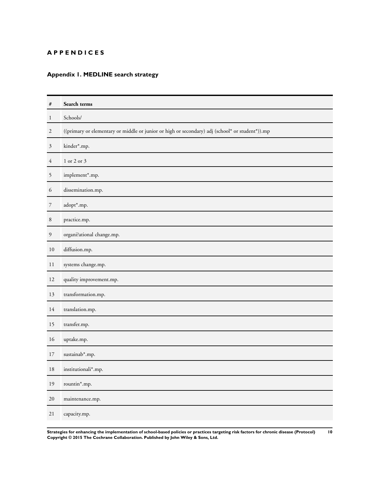## <span id="page-11-0"></span>**A P P E N D I C E S**

## **Appendix 1. MEDLINE search strategy**

| $\#$             | Search terms                                                                                    |
|------------------|-------------------------------------------------------------------------------------------------|
| $\mathbf{1}$     | Schools/                                                                                        |
| $\boldsymbol{2}$ | ((primary or elementary or middle or junior or high or secondary) adj (school* or student*)).mp |
| $\mathfrak{Z}$   | kinder*.mp.                                                                                     |
| 4                | 1 or 2 or 3                                                                                     |
| 5                | implement*.mp.                                                                                  |
| 6                | dissemination.mp.                                                                               |
| 7                | adopt*.mp.                                                                                      |
| $\,8\,$          | practice.mp.                                                                                    |
| $\overline{9}$   | organi?ational change.mp.                                                                       |
| 10               | diffusion.mp.                                                                                   |
| 11               | systems change.mp.                                                                              |
| $12\,$           | quality improvement.mp.                                                                         |
| 13               | transformation.mp.                                                                              |
| 14               | translation.mp.                                                                                 |
| 15               | transfer.mp.                                                                                    |
| 16               | uptake.mp.                                                                                      |
| 17               | sustainab*.mp.                                                                                  |
| 18               | institutionali*.mp.                                                                             |
| 19               | rountin*.mp.                                                                                    |
| $20\,$           | maintenance.mp.                                                                                 |
| $21\,$           | capacity.mp.                                                                                    |

**Strategies for enhancing the implementation of school-based policies or practices targeting risk factors for chronic disease (Protocol) 10 Copyright © 2015 The Cochrane Collaboration. Published by John Wiley & Sons, Ltd.**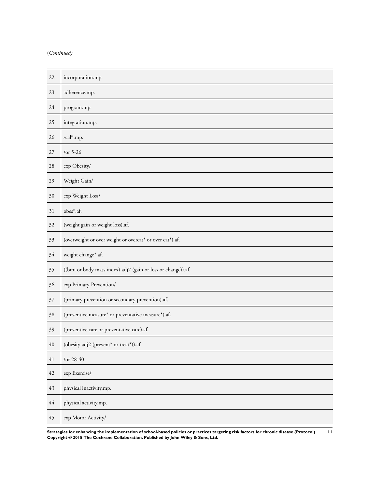| 22          | incorporation.mp.                                            |
|-------------|--------------------------------------------------------------|
| 23          | adherence.mp.                                                |
| 24          | program.mp.                                                  |
| 25          | integration.mp.                                              |
| 26          | scal*.mp.                                                    |
| 27          | /or $5-26$                                                   |
| 28          | exp Obesity/                                                 |
| 29          | Weight Gain/                                                 |
| 30          | exp Weight Loss/                                             |
| 31          | obes*.af.                                                    |
| 32          | (weight gain or weight loss).af.                             |
| 33          | (overweight or over weight or overeat* or over eat*).af.     |
| 34          | weight change*.af.                                           |
| 35          | ((bmi or body mass index) adj2 (gain or loss or change)).af. |
| 36          | exp Primary Prevention/                                      |
| 37          | (primary prevention or secondary prevention).af.             |
| 38          | (preventive measure* or preventative measure*).af.           |
| 39          | (preventive care or preventative care).af.                   |
| 40          | (obesity adj2 (prevent* or treat*)).af.                      |
| 41          | /or 28-40                                                    |
| 42          | exp Exercise/                                                |
| 43          | physical inactivity.mp.                                      |
| $\sqrt{44}$ | physical activity.mp.                                        |
| 45          | exp Motor Activity/                                          |

**Strategies for enhancing the implementation of school-based policies or practices targeting risk factors for chronic disease (Protocol) 11 Copyright © 2015 The Cochrane Collaboration. Published by John Wiley & Sons, Ltd.**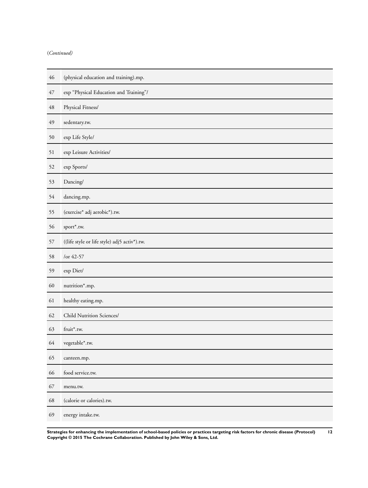| 46     | (physical education and training).mp.        |
|--------|----------------------------------------------|
| 47     | exp "Physical Education and Training"/       |
| 48     | Physical Fitness/                            |
| 49     | sedentary.tw.                                |
| $50\,$ | exp Life Style/                              |
| 51     | exp Leisure Activities/                      |
| 52     | exp Sports/                                  |
| 53     | Dancing/                                     |
| 54     | dancing.mp.                                  |
| 55     | (exercise* adj aerobic*).tw.                 |
| 56     | sport*.tw.                                   |
| 57     | ((life style or life style) adj5 activ*).tw. |
| 58     | /or 42-57                                    |
| 59     | exp Diet/                                    |
| 60     | nutrition*.mp.                               |
| 61     | healthy eating.mp.                           |
| 62     | Child Nutrition Sciences/                    |
| 63     | fruit*.tw.                                   |
| 64     | vegetable*.tw.                               |
| 65     | canteen.mp.                                  |
| 66     | food service.tw.                             |
| 67     | menu.tw.                                     |
| 68     | (calorie or calories).tw.                    |
| 69     | energy intake.tw.                            |

**Strategies for enhancing the implementation of school-based policies or practices targeting risk factors for chronic disease (Protocol) 12 Copyright © 2015 The Cochrane Collaboration. Published by John Wiley & Sons, Ltd.**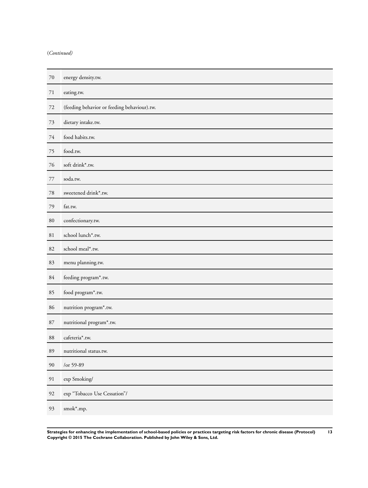| 70     | energy density.tw.                          |
|--------|---------------------------------------------|
| 71     | eating.tw.                                  |
| 72     | (feeding behavior or feeding behaviour).tw. |
| 73     | dietary intake.tw.                          |
| 74     | food habits.tw.                             |
| 75     | food.tw.                                    |
| 76     | soft drink*.tw.                             |
| 77     | soda.tw.                                    |
| $78\,$ | sweetened drink*.tw.                        |
| 79     | fat.tw.                                     |
| 80     | confectionary.tw.                           |
| 81     | school lunch*.tw.                           |
| 82     | school meal*.tw.                            |
| 83     | menu planning.tw.                           |
| $84\,$ | feeding program*.tw.                        |
| 85     | food program*.tw.                           |
| 86     | nutrition program*.tw.                      |
| 87     | nutritional program*.tw.                    |
| 88     | cafeteria*.tw.                              |
| 89     | nutritional status.tw.                      |
| $90\,$ | /or 59-89                                   |
| 91     | exp Smoking/                                |
| 92     | exp "Tobacco Use Cessation"/                |
| 93     | smok*.mp.                                   |

**Strategies for enhancing the implementation of school-based policies or practices targeting risk factors for chronic disease (Protocol) 13 Copyright © 2015 The Cochrane Collaboration. Published by John Wiley & Sons, Ltd.**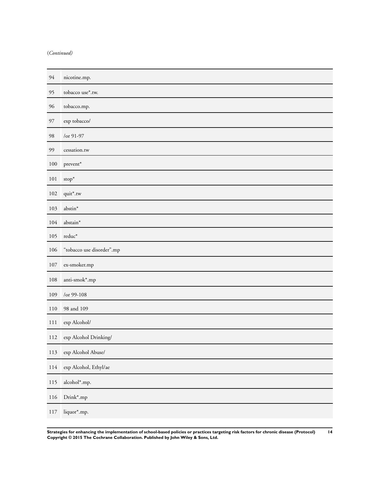| 94      | nicotine.mp.              |
|---------|---------------------------|
| 95      | tobacco use*.tw.          |
| 96      | tobacco.mp.               |
| 97      | exp tobacco/              |
| 98      | /or 91-97                 |
| 99      | cessation.tw              |
| $100\,$ | prevent*                  |
| 101     | $\mathsf{stop}^*$         |
| 102     | quit*.tw                  |
| 103     | abstin*                   |
| 104     | abstain*                  |
| 105     | reduc <sup>*</sup>        |
| 106     | "tobacco use disorder".mp |
| $107\,$ | ex-smoker.mp              |
| $108\,$ | anti-smok*.mp             |
| 109     | /or 99-108                |
| $110\,$ | 98 and 109                |
| 111     | exp Alcohol/              |
| 112     | exp Alcohol Drinking/     |
| 113     | $\exp$ Alcohol Abuse/     |
| 114     | exp Alcohol, Ethyl/ae     |
| 115     | alcohol*.mp.              |
| 116     | Drink*.mp                 |
| 117     | liquor*.mp.               |

**Strategies for enhancing the implementation of school-based policies or practices targeting risk factors for chronic disease (Protocol) 14 Copyright © 2015 The Cochrane Collaboration. Published by John Wiley & Sons, Ltd.**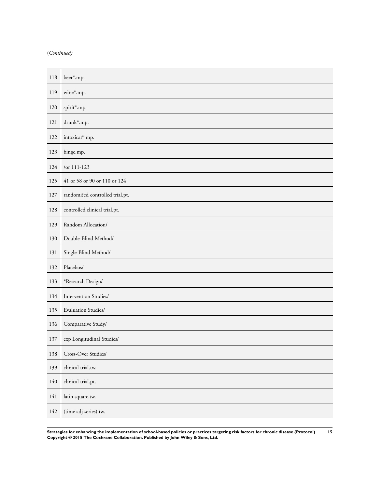| 118 | beer*.mp.                       |
|-----|---------------------------------|
| 119 | wine*.mp.                       |
| 120 | spirit*.mp.                     |
| 121 | drunk*.mp.                      |
| 122 | intoxicat*.mp.                  |
| 123 | binge.mp.                       |
| 124 | /or 111-123                     |
| 125 | 41 or 58 or 90 or 110 or 124    |
| 127 | randomi?ed controlled trial.pt. |
| 128 | controlled clinical trial.pt.   |
| 129 | Random Allocation/              |
| 130 | Double-Blind Method/            |
| 131 | Single-Blind Method/            |
| 132 | Placebos/                       |
| 133 | *Research Design/               |
| 134 | Intervention Studies/           |
| 135 | Evaluation Studies/             |
| 136 | Comparative Study/              |
| 137 | exp Longitudinal Studies/       |
| 138 | Cross-Over Studies/             |
| 139 | clinical trial.tw.              |
| 140 | clinical trial.pt.              |
| 141 | latin square.tw.                |
| 142 | (time adj series).tw.           |

**Strategies for enhancing the implementation of school-based policies or practices targeting risk factors for chronic disease (Protocol) 15 Copyright © 2015 The Cochrane Collaboration. Published by John Wiley & Sons, Ltd.**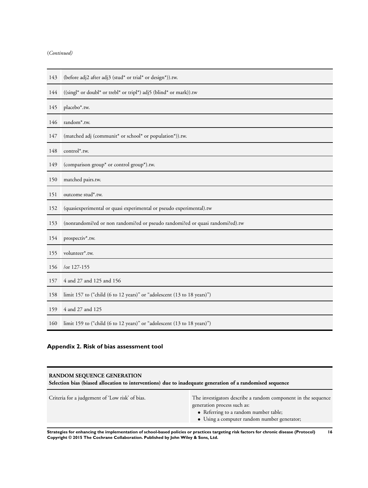| 143 | (before adj2 after adj3 (stud* or trial* or design*)).tw.                     |
|-----|-------------------------------------------------------------------------------|
| 144 | ((singl* or doubl* or trebl* or tripl*) adj5 (blind* or mark)).tw             |
| 145 | placebo*.tw.                                                                  |
| 146 | random <sup>*</sup> .tw.                                                      |
| 147 | (matched adj (communit* or school* or population*)).tw.                       |
| 148 | control*.tw.                                                                  |
| 149 | (comparison group* or control group*).tw.                                     |
| 150 | matched pairs.tw.                                                             |
| 151 | outcome stud*.tw.                                                             |
| 152 | (quasiexperimental or quasi experimental or pseudo experimental).tw           |
| 153 | (nonrandomi?ed or non randomi?ed or pseudo randomi?ed or quasi randomi?ed).tw |
| 154 | prospectiv*.tw.                                                               |
| 155 | volunteer*.tw.                                                                |
| 156 | /or 127-155                                                                   |
| 157 | 4 and 27 and 125 and 156                                                      |
| 158 | limit 157 to ("child (6 to 12 years)" or "adolescent (13 to 18 years)")       |
| 159 | 4 and 27 and 125                                                              |
| 160 | limit 159 to ("child (6 to 12 years)" or "adolescent (13 to 18 years)")       |

## **Appendix 2. Risk of bias assessment tool**

| <b>RANDOM SEQUENCE GENERATION</b><br>Selection bias (biased allocation to interventions) due to inadequate generation of a randomised sequence |                                                                                                                                                                                      |  |
|------------------------------------------------------------------------------------------------------------------------------------------------|--------------------------------------------------------------------------------------------------------------------------------------------------------------------------------------|--|
| Criteria for a judgement of 'Low risk' of bias.                                                                                                | The investigators describe a random component in the sequence<br>generation process such as:<br>• Referring to a random number table;<br>• Using a computer random number generator; |  |

**Strategies for enhancing the implementation of school-based policies or practices targeting risk factors for chronic disease (Protocol) 16 Copyright © 2015 The Cochrane Collaboration. Published by John Wiley & Sons, Ltd.**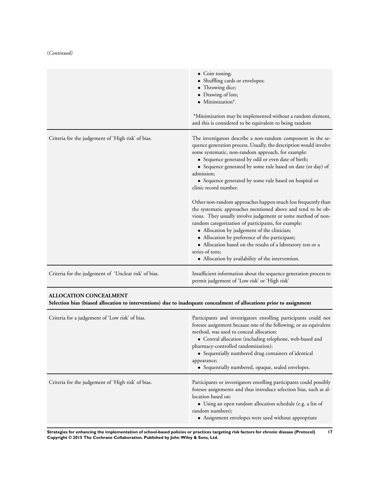|                                                       | • Coin tossing;<br>• Shuffling cards or envelopes;<br>Throwing dice;<br>• Drawing of lots;<br>· Minimization*.<br>*Minimization may be implemented without a random element,<br>and this is considered to be equivalent to being random                                                                                                                                                                                                                                                                                                                                                                                                                                                                                                                                                                                                                                                                       |
|-------------------------------------------------------|---------------------------------------------------------------------------------------------------------------------------------------------------------------------------------------------------------------------------------------------------------------------------------------------------------------------------------------------------------------------------------------------------------------------------------------------------------------------------------------------------------------------------------------------------------------------------------------------------------------------------------------------------------------------------------------------------------------------------------------------------------------------------------------------------------------------------------------------------------------------------------------------------------------|
| Criteria for the judgement of 'High risk' of bias.    | The investigators describe a non-random component in the se-<br>quence generation process. Usually, the description would involve<br>some systematic, non-random approach, for example:<br>• Sequence generated by odd or even date of birth;<br>• Sequence generated by some rule based on date (or day) of<br>admission;<br>• Sequence generated by some rule based on hospital or<br>clinic record number.<br>Other non-random approaches happen much less frequently than<br>the systematic approaches mentioned above and tend to be ob-<br>vious. They usually involve judgement or some method of non-<br>random categorization of participants, for example:<br>• Allocation by judgement of the clinician;<br>• Allocation by preference of the participant;<br>• Allocation based on the results of a laboratory test or a<br>series of tests;<br>• Allocation by availability of the intervention. |
| Criteria for the judgement of 'Unclear risk' of bias. | Insufficient information about the sequence generation process to<br>permit judgement of 'Low risk' or 'High risk'                                                                                                                                                                                                                                                                                                                                                                                                                                                                                                                                                                                                                                                                                                                                                                                            |

## **ALLOCATION CONCEALMENT**

**Selection bias (biased allocation to interventions) due to inadequate concealment of allocations prior to assignment**

| Criteria for a judgement of 'Low risk' of bias.    | Participants and investigators enrolling participants could not<br>foresee assignment because one of the following, or an equivalent<br>method, was used to conceal allocation:<br>• Central allocation (including telephone, web-based and<br>pharmacy-controlled randomization);<br>• Sequentially numbered drug containers of identical<br>appearance;<br>• Sequentially numbered, opaque, sealed envelopes. |
|----------------------------------------------------|-----------------------------------------------------------------------------------------------------------------------------------------------------------------------------------------------------------------------------------------------------------------------------------------------------------------------------------------------------------------------------------------------------------------|
| Criteria for the judgement of 'High risk' of bias. | Participants or investigators enrolling participants could possibly<br>foresee assignments and thus introduce selection bias, such as al-<br>location based on:<br>• Using an open random allocation schedule (e.g. a list of<br>random numbers);<br>• Assignment envelopes were used without appropriate                                                                                                       |

**Strategies for enhancing the implementation of school-based policies or practices targeting risk factors for chronic disease (Protocol) 17 Copyright © 2015 The Cochrane Collaboration. Published by John Wiley & Sons, Ltd.**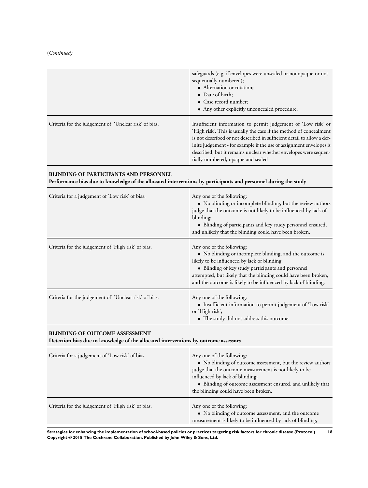|                                                       | safeguards (e.g. if envelopes were unsealed or nonopaque or not<br>sequentially numbered);<br>• Alternation or rotation;<br>$\bullet$ Date of birth;<br>• Case record number;<br>• Any other explicitly unconcealed procedure.                                                                                                                                                                 |
|-------------------------------------------------------|------------------------------------------------------------------------------------------------------------------------------------------------------------------------------------------------------------------------------------------------------------------------------------------------------------------------------------------------------------------------------------------------|
| Criteria for the judgement of 'Unclear risk' of bias. | Insufficient information to permit judgement of 'Low risk' or<br>'High risk'. This is usually the case if the method of concealment<br>is not described or not described in sufficient detail to allow a def-<br>inite judgement - for example if the use of assignment envelopes is<br>described, but it remains unclear whether envelopes were sequen-<br>tially numbered, opaque and sealed |

## **BLINDING OF PARTICIPANTS AND PERSONNEL**

**Performance bias due to knowledge of the allocated interventions by participants and personnel during the study**

| Criteria for a judgement of 'Low risk' of bias.       | Any one of the following:<br>• No blinding or incomplete blinding, but the review authors<br>judge that the outcome is not likely to be influenced by lack of<br>blinding;<br>• Blinding of participants and key study personnel ensured,<br>and unlikely that the blinding could have been broken.                               |
|-------------------------------------------------------|-----------------------------------------------------------------------------------------------------------------------------------------------------------------------------------------------------------------------------------------------------------------------------------------------------------------------------------|
| Criteria for the judgement of 'High risk' of bias.    | Any one of the following:<br>• No blinding or incomplete blinding, and the outcome is<br>likely to be influenced by lack of blinding;<br>• Blinding of key study participants and personnel<br>attempted, but likely that the blinding could have been broken,<br>and the outcome is likely to be influenced by lack of blinding. |
| Criteria for the judgement of 'Unclear risk' of bias. | Any one of the following:<br>• Insufficient information to permit judgement of 'Low risk'<br>or 'High risk';<br>• The study did not address this outcome.                                                                                                                                                                         |

## **BLINDING OF OUTCOME ASSESSMENT**

**Detection bias due to knowledge of the allocated interventions by outcome assessors**

| Criteria for a judgement of 'Low risk' of bias.    | Any one of the following:<br>• No blinding of outcome assessment, but the review authors<br>judge that the outcome measurement is not likely to be<br>influenced by lack of blinding;<br>• Blinding of outcome assessment ensured, and unlikely that<br>the blinding could have been broken. |
|----------------------------------------------------|----------------------------------------------------------------------------------------------------------------------------------------------------------------------------------------------------------------------------------------------------------------------------------------------|
| Criteria for the judgement of 'High risk' of bias. | Any one of the following:<br>• No blinding of outcome assessment, and the outcome<br>measurement is likely to be influenced by lack of blinding;                                                                                                                                             |

**Strategies for enhancing the implementation of school-based policies or practices targeting risk factors for chronic disease (Protocol) 18 Copyright © 2015 The Cochrane Collaboration. Published by John Wiley & Sons, Ltd.**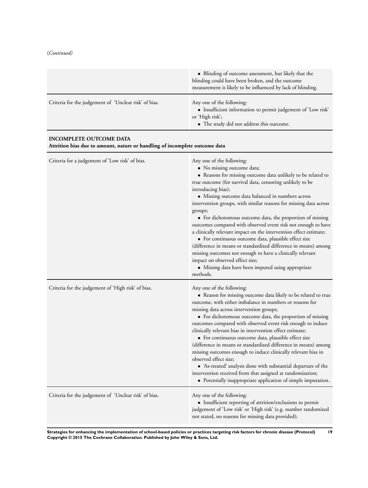|                                                       | • Blinding of outcome assessment, but likely that the<br>blinding could have been broken, and the outcome<br>measurement is likely to be influenced by lack of blinding. |
|-------------------------------------------------------|--------------------------------------------------------------------------------------------------------------------------------------------------------------------------|
| Criteria for the judgement of 'Unclear risk' of bias. | Any one of the following:<br>• Insufficient information to permit judgement of 'Low risk'<br>or 'High risk';<br>• The study did not address this outcome.                |

## **INCOMPLETE OUTCOME DATA**

**Attrition bias due to amount, nature or handling of incomplete outcome data**

| Criteria for a judgement of 'Low risk' of bias.       | Any one of the following:<br>• No missing outcome data;<br>• Reasons for missing outcome data unlikely to be related to<br>true outcome (for survival data, censoring unlikely to be<br>introducing bias);<br>• Missing outcome data balanced in numbers across<br>intervention groups, with similar reasons for missing data across<br>groups;<br>• For dichotomous outcome data, the proportion of missing<br>outcomes compared with observed event risk not enough to have<br>a clinically relevant impact on the intervention effect estimate;<br>• For continuous outcome data, plausible effect size<br>(difference in means or standardized difference in means) among<br>missing outcomes not enough to have a clinically relevant<br>impact on observed effect size;<br>• Missing data have been imputed using appropriate<br>methods. |
|-------------------------------------------------------|-------------------------------------------------------------------------------------------------------------------------------------------------------------------------------------------------------------------------------------------------------------------------------------------------------------------------------------------------------------------------------------------------------------------------------------------------------------------------------------------------------------------------------------------------------------------------------------------------------------------------------------------------------------------------------------------------------------------------------------------------------------------------------------------------------------------------------------------------|
| Criteria for the judgement of 'High risk' of bias.    | Any one of the following:<br>• Reason for missing outcome data likely to be related to true<br>outcome, with either imbalance in numbers or reasons for<br>missing data across intervention groups;<br>• For dichotomous outcome data, the proportion of missing<br>outcomes compared with observed event risk enough to induce<br>clinically relevant bias in intervention effect estimate;<br>• For continuous outcome data, plausible effect size<br>(difference in means or standardized difference in means) among<br>missing outcomes enough to induce clinically relevant bias in<br>observed effect size;<br>• 'As-treated' analysis done with substantial departure of the<br>intervention received from that assigned at randomization;<br>• Potentially inappropriate application of simple imputation.                              |
| Criteria for the judgement of 'Unclear risk' of bias. | Any one of the following:<br>• Insufficient reporting of attrition/exclusions to permit<br>judgement of 'Low risk' or 'High risk' (e.g. number randomized<br>not stated, no reasons for missing data provided);                                                                                                                                                                                                                                                                                                                                                                                                                                                                                                                                                                                                                                 |

**Strategies for enhancing the implementation of school-based policies or practices targeting risk factors for chronic disease (Protocol) 19 Copyright © 2015 The Cochrane Collaboration. Published by John Wiley & Sons, Ltd.**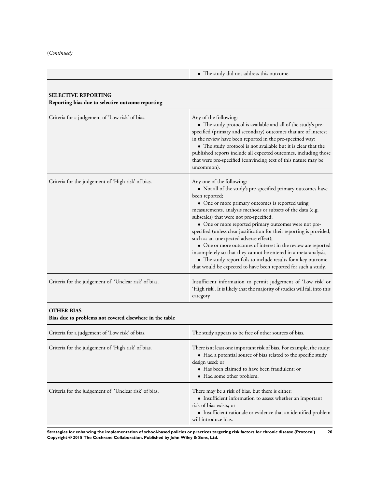|                                                                                 | • The study did not address this outcome.                                                                                                                                                                                                                                                                                                                                                                                                                                                                                                                                                                                                                                                                                     |
|---------------------------------------------------------------------------------|-------------------------------------------------------------------------------------------------------------------------------------------------------------------------------------------------------------------------------------------------------------------------------------------------------------------------------------------------------------------------------------------------------------------------------------------------------------------------------------------------------------------------------------------------------------------------------------------------------------------------------------------------------------------------------------------------------------------------------|
| <b>SELECTIVE REPORTING</b><br>Reporting bias due to selective outcome reporting |                                                                                                                                                                                                                                                                                                                                                                                                                                                                                                                                                                                                                                                                                                                               |
| Criteria for a judgement of 'Low risk' of bias.                                 | Any of the following:<br>• The study protocol is available and all of the study's pre-<br>specified (primary and secondary) outcomes that are of interest<br>in the review have been reported in the pre-specified way;<br>• The study protocol is not available but it is clear that the<br>published reports include all expected outcomes, including those<br>that were pre-specified (convincing text of this nature may be<br>uncommon).                                                                                                                                                                                                                                                                                 |
| Criteria for the judgement of 'High risk' of bias.                              | Any one of the following:<br>• Not all of the study's pre-specified primary outcomes have<br>been reported;<br>• One or more primary outcomes is reported using<br>measurements, analysis methods or subsets of the data (e.g.<br>subscales) that were not pre-specified;<br>• One or more reported primary outcomes were not pre-<br>specified (unless clear justification for their reporting is provided,<br>such as an unexpected adverse effect);<br>• One or more outcomes of interest in the review are reported<br>incompletely so that they cannot be entered in a meta-analysis;<br>• The study report fails to include results for a key outcome<br>that would be expected to have been reported for such a study. |
| Criteria for the judgement of 'Unclear risk' of bias.                           | Insufficient information to permit judgement of 'Low risk' or<br>'High risk'. It is likely that the majority of studies will fall into this<br>category                                                                                                                                                                                                                                                                                                                                                                                                                                                                                                                                                                       |
| <b>OTHER BIAS</b>                                                               |                                                                                                                                                                                                                                                                                                                                                                                                                                                                                                                                                                                                                                                                                                                               |

**Bias due to problems not covered elsewhere in the table**

| Criteria for a judgement of 'Low risk' of bias.       | The study appears to be free of other sources of bias.                                                                                                                                                                                    |
|-------------------------------------------------------|-------------------------------------------------------------------------------------------------------------------------------------------------------------------------------------------------------------------------------------------|
| Criteria for the judgement of 'High risk' of bias.    | There is at least one important risk of bias. For example, the study:<br>• Had a potential source of bias related to the specific study<br>design used; or<br>• Has been claimed to have been fraudulent; or<br>• Had some other problem. |
| Criteria for the judgement of 'Unclear risk' of bias. | There may be a risk of bias, but there is either:<br>• Insufficient information to assess whether an important<br>risk of bias exists; or<br>• Insufficient rationale or evidence that an identified problem<br>will introduce bias.      |

**Strategies for enhancing the implementation of school-based policies or practices targeting risk factors for chronic disease (Protocol) 20 Copyright © 2015 The Cochrane Collaboration. Published by John Wiley & Sons, Ltd.**